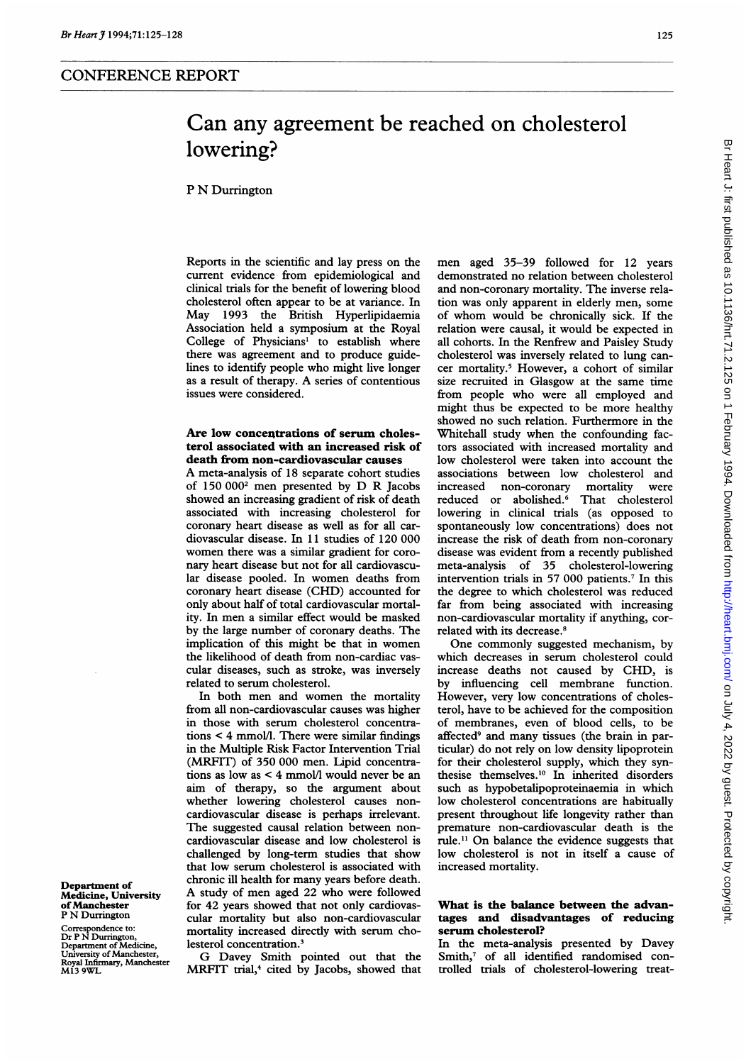# P N Durrington

Reports in the scientific and lay press on the current evidence from epidemiological and clinical trials for the benefit of lowering blood cholesterol often appear to be at variance. In May 1993 the British Hyperlipidaemia Association held a symposium at the Royal College of Physicians' to establish where there was agreement and to produce guidelines to identify people who might live longer as <sup>a</sup> result of therapy. A series of contentious issues were considered.

# Are low concentrations of serum cholesterol associated with an increased risk of death from non-cardiovascular causes

A meta-analysis of <sup>18</sup> separate cohort studies of <sup>150</sup> <sup>0002</sup> men presented by D R Jacobs showed an increasing gradient of risk of death associated with increasing cholesterol for coronary heart disease as well as for all cardiovascular disease. In 11 studies of 120 000 women there was <sup>a</sup> similar gradient for coronary heart disease but not for all cardiovascular disease pooled. In women deaths from coronary heart disease (CHD) accounted for only about half of total cardiovascular mortality. In men <sup>a</sup> similar effect would be masked by the large number of coronary deaths. The implication of this might be that in women the likelihood of death from non-cardiac vascular diseases, such as stroke, was inversely related to serum cholesterol.

In both men and women the mortality from all non-cardiovascular causes was higher in those with serum cholesterol concentrations < 4 mmol/l. There were similar findings in the Multiple Risk Factor Intervention Trial (MRFIT) of 350 000 men. Lipid concentrations as low as < 4 mmol/l would never be an aim of therapy, so the argument about whether lowering cholesterol causes noncardiovascular disease is perhaps irrelevant. The suggested causal relation between noncardiovascular disease and low cholesterol is challenged by long-term studies that show that low serum cholesterol is associated with chronic ill health for many years before death. A study of men aged <sup>22</sup> who were followed for 42 years showed that not only cardiovascular mortality but also non-cardiovascular mortality increased directly with serum cholesterol concentration.'

G Davey Smith pointed out that the MRFIT trial,<sup>4</sup> cited by Jacobs, showed that men aged 35-39 followed for 12 years demonstrated no relation between cholesterol and non-coronary mortality. The inverse relation was only apparent in elderly men, some of whom would be chronically sick. If the relation were causal, it would be expected in all cohorts. In the Renfrew and Paisley Study cholesterol was inversely related to lung cancer mortality.<sup>5</sup> However, a cohort of similar size recruited in Glasgow at the same time from people who were all employed and might thus be expected to be more healthy showed no such relation. Furthermore in the Whitehall study when the confounding factors associated with increased mortality and low cholesterol were taken into account the associations between low cholesterol and<br>increased non-coronary mortality were increased non-coronary mortality were reduced or abolished.<sup>6</sup> That cholesterol lowering in clinical trials (as opposed to spontaneously low concentrations) does not increase the risk of death from non-coronary disease was evident from a recently published meta-analysis of 35 cholesterol-lowering intervention trials in 57 000 patients.7 In this the degree to which cholesterol was reduced far from being associated with increasing non-cardiovascular mortality if anything, correlated with its decrease.<sup>8</sup>

One commonly suggested mechanism, by which decreases in serum cholesterol could increase deaths not caused by CHD, is by influencing cell membrane function. However, very low concentrations of cholesterol, have to be achieved for the composition of membranes, even of blood cells, to be affected<sup>9</sup> and many tissues (the brain in particular) do not rely on low density lipoprotein for their cholesterol supply, which they synthesise themselves.'0 In inherited disorders such as hypobetalipoproteinaemia in which low cholesterol concentrations are habitually present throughout life longevity rather than premature non-cardiovascular death is the rule.1' On balance the evidence suggests that low cholesterol is not in itself a cause of increased mortality.

# What is the balance between the advantages and disadvantages of reducing serum cholesterol?

In the meta-analysis presented by Davey Smith,<sup>7</sup> of all identified randomised controlled trials of cholesterol-lowering treat-

Department of Medicine, University of Manchester P N Durrington

Correspondence to: Dr P N Durrington, Department of Medicine, University of Manchester, Royal Infirmary, Manchester M13 9WL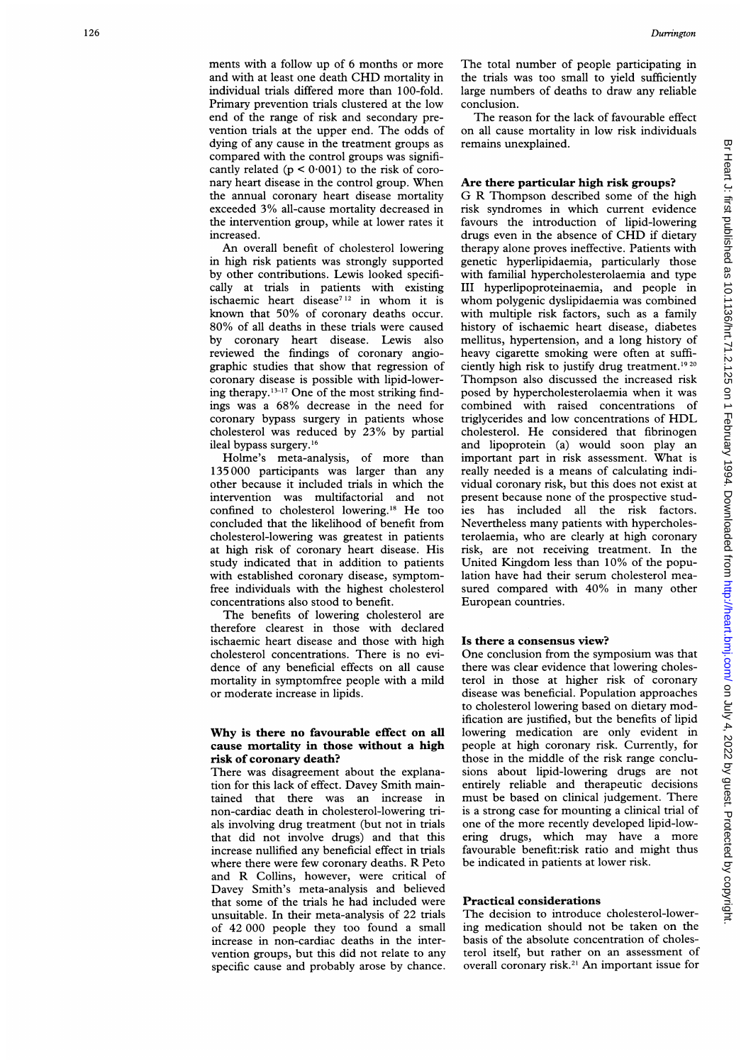increased. An overall benefit of cholesterol lowering in high risk patients was strongly supported by other contributions. Lewis looked specifically at trials in patients with existing ischaemic heart disease<sup>712</sup> in whom it is known that 50% of coronary deaths occur. 80% of all deaths in these trials were caused by coronary heart disease. Lewis also reviewed the findings of coronary angiographic studies that show that regression of coronary disease is possible with lipid-lowering therapy.<sup>13-17</sup> One of the most striking findings was <sup>a</sup> 68% decrease in the need for coronary bypass surgery in patients whose cholesterol was reduced by 23% by partial ileal bypass surgery.16

the intervention group, while at lower rates it

Holme's meta-analysis, of more than 135 000 participants was larger than any other because it included trials in which the intervention was multifactorial and not confined to cholesterol lowering. <sup>18</sup> He too concluded that the likelihood of benefit from cholesterol-lowering was greatest in patients at high risk of coronary heart disease. His study indicated that in addition to patients with established coronary disease, symptomfree individuals with the highest cholesterol concentrations also stood to benefit.

The benefits of lowering cholesterol are therefore clearest in those with declared ischaemic heart disease and those with high cholesterol concentrations. There is no evidence of any beneficial effects on all cause mortality in symptomfree people with a mild or moderate increase in lipids.

## Why is there no favourable effect on all cause mortality in those without a high risk of coronary death?

There was disagreement about the explanation for this lack of effect. Davey Smith maintained that there was an increase in non-cardiac death in cholesterol-lowering trials involving drug treatment (but not in trials that did not involve drugs) and that this increase nullified any beneficial effect in trials where there were few coronary deaths. R Peto and R Collins, however, were critical of Davey Smith's meta-analysis and believed that some of the trials he had included were unsuitable. In their meta-analysis of 22 trials of 42 000 people they too found a small increase in non-cardiac deaths in the intervention groups, but this did not relate to any specific cause and probably arose by chance.

The total number of people participating in the trials was too small to yield sufficiently large numbers of deaths to draw any reliable conclusion.

The reason for the lack of favourable effect on all cause mortality in low risk individuals remains unexplained.

# Are there particular high risk groups? <sup>G</sup> <sup>R</sup> Thompson described some of the high

risk syndromes in which current evidence favours the introduction of lipid-lowering drugs even in the absence of CHD if dietary therapy alone proves ineffective. Patients with genetic hyperlipidaemia, particularly those with familial hypercholesterolaemia and type III hyperlipoproteinaemia, and people in whom polygenic dyslipidaemia was combined with multiple risk factors, such as a family history of ischaemic heart disease, diabetes mellitus, hypertension, and a long history of heavy cigarette smoking were often at sufficiently high risk to justify drug treatment.<sup>1920</sup> Thompson also discussed the increased risk posed by hypercholesterolaemia when it was combined with raised concentrations of triglycerides and low concentrations of HDL cholesterol. He considered that fibrinogen and lipoprotein (a) would soon play an important part in risk assessment. What is really needed is a means of calculating individual coronary risk, but this does not exist at present because none of the prospective studies has included all the risk factors. Nevertheless many patients with hypercholesterolaemia, who are clearly at high coronary risk, are not receiving treatment. In the United Kingdom less than 10% of the population have had their serum cholesterol measured compared with 40% in many other European countries.

#### Is there a consensus view?

One conclusion from the symposium was that there was clear evidence that lowering cholesterol in those at higher risk of coronary disease was beneficial. Population approaches to cholesterol lowering based on dietary modification are justified, but the benefits of lipid lowering medication are only evident in people at high coronary risk. Currently, for those in the middle of the risk range conclusions about lipid-lowering drugs are not entirely reliable and therapeutic decisions must be based on clinical judgement. There is a strong case for mounting a clinical trial of one of the more recently developed lipid-lowering drugs, which may have <sup>a</sup> more favourable benefit:risk ratio and might thus be indicated in patients at lower risk.

#### Practical considerations

The decision to introduce cholesterol-lowering medication should not be taken on the basis of the absolute concentration of cholesterol itself, but rather on an assessment of overall coronary risk.2' An important issue for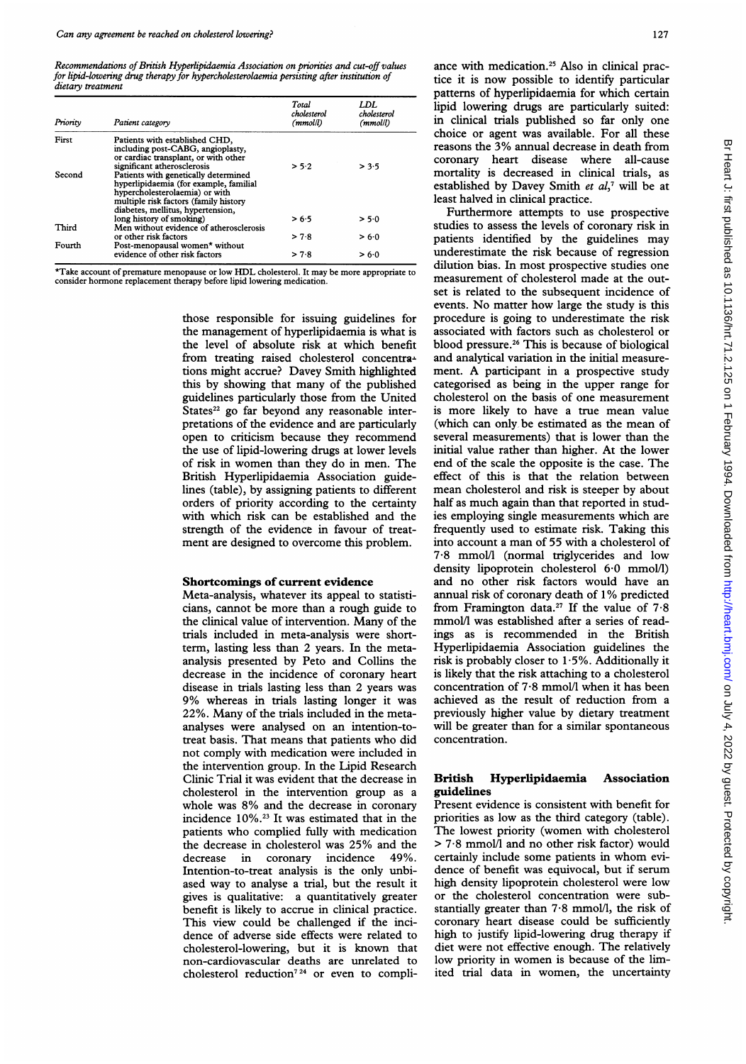Recommendations ofBritish Hyperlipidaemia Association on priorities and cut-off values for lipid-lowering drug therapy for hypercholesterolaemia persisting after institution of dietary treatment

| Priority | Patient category                                                                                                                                                                                                              | Total<br>cholesterol<br>(mmol/l) | LDL<br>cholesterol<br>(mmol/l) |
|----------|-------------------------------------------------------------------------------------------------------------------------------------------------------------------------------------------------------------------------------|----------------------------------|--------------------------------|
| First    | Patients with established CHD,<br>including post-CABG, angioplasty,<br>or cardiac transplant, or with other                                                                                                                   |                                  |                                |
| Second   | significant atherosclerosis<br>Patients with genetically determined<br>hyperlipidaemia (for example, familial<br>hypercholesterolaemia) or with<br>multiple risk factors (family history<br>diabetes, mellitus, hypertension, | > 5.2                            | > 3.5                          |
| Third    | long history of smoking)<br>Men without evidence of atherosclerosis                                                                                                                                                           | > 6∙5                            | > 5.0                          |
|          | or other risk factors                                                                                                                                                                                                         | > 7.8                            | > 6.0                          |
| Fourth   | Post-menopausal women* without<br>evidence of other risk factors                                                                                                                                                              | > 7.8                            | > 6∙0                          |

\*Take account of premature menopause or low HDL cholesterol. It may be more appropriate to consider hormone replacement therapy before lipid lowering medication.

those responsible for issuing guidelines for the management of hyperlipidaemia is what is the level of absolute risk at which benefit from treating raised cholesterol concentrations might accrue? Davey Smith highlighted this by showing that many of the published guidelines particularly those from the United States<sup>22</sup> go far beyond any reasonable interpretations of the evidence and are particularly open to criticism because they recommend the use of lipid-lowering drugs at lower levels of risk in women than they do in men. The British Hyperlipidaemia Association guidelines (table), by assigning patients to different orders of priority according to the certainty with which risk can be established and the strength of the evidence in favour of treatment are designed to overcome this problem.

#### Shortcomings of current evidence

Meta-analysis, whatever its appeal to statisticians, cannot be more than a rough guide to the clinical value of intervention. Many of the trials included in meta-analysis were shortterm, lasting less than 2 years. In the metaanalysis presented by Peto and Collins the decrease in the incidence of coronary heart disease in trials lasting less than 2 years was 9% whereas in trials lasting longer it was 22%. Many of the trials included in the metaanalyses were analysed on an intention-totreat basis. That means that patients who did not comply with medication were included in the intervention group. In the Lipid Research Clinic Trial it was evident that the decrease in cholesterol in the intervention group as a whole was 8% and the decrease in coronary incidence 10%.23 It was estimated that in the patients who complied fully with medication the decrease in cholesterol was 25% and the decrease in coronary incidence 49%. decrease in coronary incidence 49%. Intention-to-treat analysis is the only unbiased way to analyse a trial, but the result it gives is qualitative: a quantitatively greater benefit is likely to accrue in clinical practice. This view could be challenged if the incidence of adverse side effects were related to cholesterol-lowering, but it is known that non-cardiovascular deaths are unrelated to cholesterol reduction7 <sup>24</sup> or even to compliance with medication.25 Also in clinical practice it is now possible to identify particular patterns of hyperlipidaemia for which certain lipid lowering drugs are particularly suited: in clinical trials published so far only one choice or agent was available. For all these reasons the 3% annual decrease in death from coronary heart disease where all-cause mortality is decreased in clinical trials, as established by Davey Smith et  $al$ ,<sup>7</sup> will be at least halved in clinical practice.

Furthermore attempts to use prospective studies to assess the levels of coronary risk in patients identified by the guidelines may underestimate the risk because of regression dilution bias. In most prospective studies one measurement of cholesterol made at the outset is related to the subsequent incidence of events. No matter how large the study is this procedure is going to underestimate the risk associated with factors such as cholesterol or blood pressure.26 This is because of biological and analytical variation in the initial measurement. A participant in <sup>a</sup> prospective study categorised as being in the upper range for cholesterol on the basis of one measurement is more likely to have <sup>a</sup> true mean value (which can only be estimated as the mean of several measurements) that is lower than the initial value rather than higher. At the lower end of the scale the opposite is the case. The effect of this is that the relation between mean cholesterol and risk is steeper by about half as much again than that reported in studies employing single measurements which are frequently used to estimate risk. Taking this into account <sup>a</sup> man of 55 with <sup>a</sup> cholesterol of 7-8 mmol/l (normal triglycerides and low density lipoprotein cholesterol 6-0 mmol/l) and no other risk factors would have an annual risk of coronary death of 1% predicted from Framington data.<sup>27</sup> If the value of  $7.8$ mmol/l was established after a series of readings as is recommended in the British Hyperlipidaemia Association guidelines the risk is probably closer to  $1.5\%$ . Additionally it is likely that the risk attaching to a cholesterol concentration of 7-8 mmol/l when it has been achieved as the result of reduction from a previously higher value by dietary treatment will be greater than for a similar spontaneous concentration.

# British Hyperlipidaemia Association guidelines

Present evidence is consistent with benefit for priorities as low as the third category (table). The lowest priority (women with cholesterol > 7-8 mmol/I and no other risk factor) would certainly include some patients in whom evidence of benefit was equivocal, but if serum high density lipoprotein cholesterol were low or the cholesterol concentration were substantially greater than 7-8 mmol/l, the risk of coronary heart disease could be sufficiently high to justify lipid-lowering drug therapy if diet were not effective enough. The relatively low priority in women is because of the limited trial data in women, the uncertainty